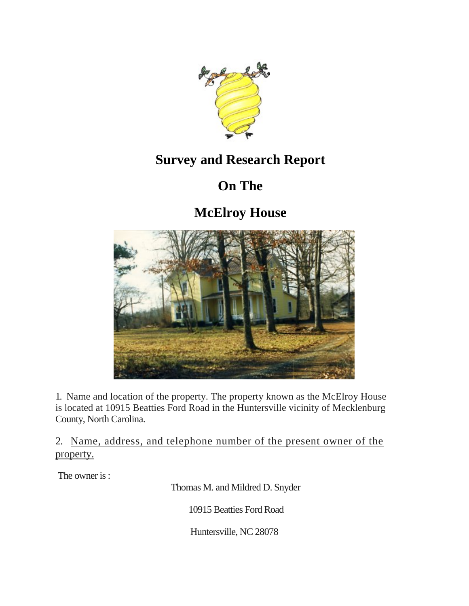

### **Survey and Research Report**

# **On The**

**McElroy House**



1. Name and location of the property. The property known as the McElroy House is located at 10915 Beatties Ford Road in the Huntersville vicinity of Mecklenburg County, North Carolina.

2. Name, address, and telephone number of the present owner of the property.

The owner is :

Thomas M. and Mildred D. Snyder

10915 Beatties Ford Road

Huntersville, NC 28078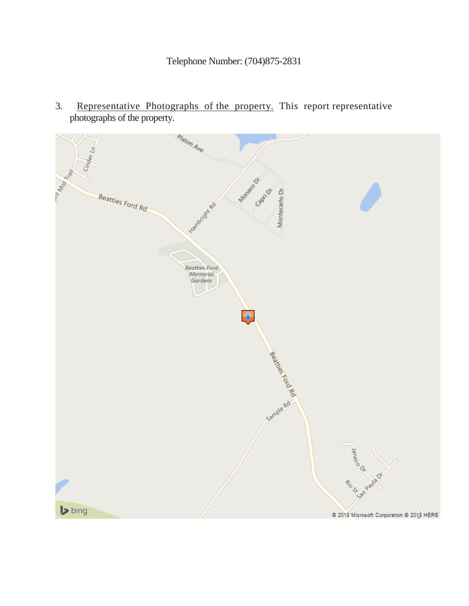3. Representative Photographs of the property. This report representative photographs of the property.

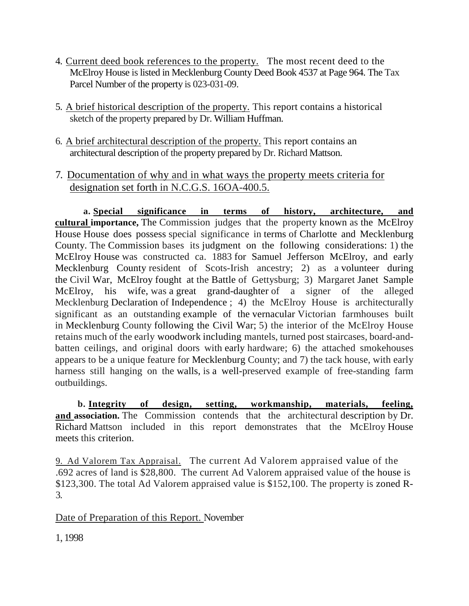- 4. Current deed book references to the property. The most recent deed to the McElroy House is listed in Mecklenburg County Deed Book 4537 at Page 964. The Tax Parcel Number of the property is 023-031-09.
- 5. A brief historical description of the property. This report contains a historical sketch of the property prepared by Dr. William Huffman.
- 6. A brief architectural description of the property. This report contains an architectural description of the property prepared by Dr. Richard Mattson.
- 7. Documentation of why and in what ways the property meets criteria for designation set forth in N.C.G.S. 16OA-400.5.

**a. Special significance in terms of history, architecture, and cultural importance,** The Commission judges that the property known as the McElroy House House does possess special significance in terms of Charlotte and Mecklenburg County. The Commission bases its judgment on the following considerations: 1) the McElroy House was constructed ca. 1883 for Samuel Jefferson McElroy, and early Mecklenburg County resident of Scots-Irish ancestry; 2) as a volunteer during the Civil War, McElroy fought at the Battle of Gettysburg; 3) Margaret Janet Sample McElroy, his wife, was a great grand-daughter of a signer of the alleged Mecklenburg Declaration of Independence ; 4) the McElroy House is architecturally significant as an outstanding example of the vernacular Victorian farmhouses built in Mecklenburg County following the Civil War; 5) the interior of the McElroy House retains much of the early woodwork including mantels, turned post staircases, board-andbatten ceilings, and original doors with early hardware; 6) the attached smokehouses appears to be a unique feature for Mecklenburg County; and 7) the tack house, with early harness still hanging on the walls, is a well-preserved example of free-standing farm outbuildings.

**b. Integrity of design, setting, workmanship, materials, feeling, and association.** The Commission contends that the architectural description by Dr. Richard Mattson included in this report demonstrates that the McElroy House meets this criterion.

9. Ad Valorem Tax Appraisal. The current Ad Valorem appraised value of the .692 acres of land is \$28,800. The current Ad Valorem appraised value of the house is \$123,300. The total Ad Valorem appraised value is \$152,100. The property is zoned R-3.

Date of Preparation of this Report. November

1, 1998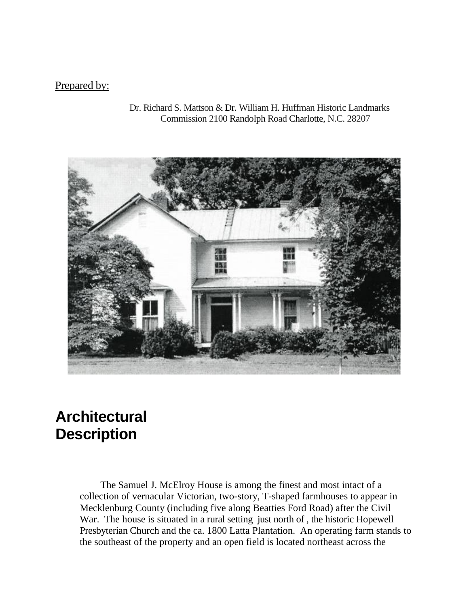#### Prepared by:

Dr. Richard S. Mattson & Dr. William H. Huffman Historic Landmarks Commission 2100 Randolph Road Charlotte, N.C. 28207



## **Architectural Description**

The Samuel J. McElroy House is among the finest and most intact of a collection of vernacular Victorian, two-story, T-shaped farmhouses to appear in Mecklenburg County (including five along Beatties Ford Road) after the Civil War. The house is situated in a rural setting just north of , the historic Hopewell Presbyterian Church and the ca. 1800 Latta Plantation. An operating farm stands to the southeast of the property and an open field is located northeast across the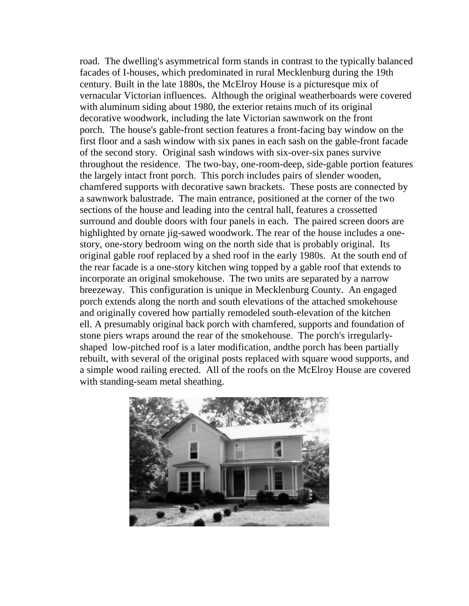road. The dwelling's asymmetrical form stands in contrast to the typically balanced facades of I-houses, which predominated in rural Mecklenburg during the 19th century. Built in the late 1880s, the McElroy House is a picturesque mix of vernacular Victorian influences. Although the original weatherboards were covered with aluminum siding about 1980, the exterior retains much of its original decorative woodwork, including the late Victorian sawnwork on the front porch. The house's gable-front section features a front-facing bay window on the first floor and a sash window with six panes in each sash on the gable-front facade of the second story. Original sash windows with six-over-six panes survive throughout the residence. The two-bay, one-room-deep, side-gable portion features the largely intact front porch. This porch includes pairs of slender wooden, chamfered supports with decorative sawn brackets. These posts are connected by a sawnwork balustrade. The main entrance, positioned at the corner of the two sections of the house and leading into the central hall, features a crossetted surround and double doors with four panels in each. The paired screen doors are highlighted by ornate jig-sawed woodwork. The rear of the house includes a onestory, one-story bedroom wing on the north side that is probably original. Its original gable roof replaced by a shed roof in the early 1980s. At the south end of the rear facade is a one-story kitchen wing topped by a gable roof that extends to incorporate an original smokehouse. The two units are separated by a narrow breezeway. This configuration is unique in Mecklenburg County. An engaged porch extends along the north and south elevations of the attached smokehouse and originally covered how partially remodeled south-elevation of the kitchen ell. A presumably original back porch with chamfered, supports and foundation of stone piers wraps around the rear of the smokehouse. The porch's irregularlyshaped low-pitched roof is a later modification, andthe porch has been partially rebuilt, with several of the original posts replaced with square wood supports, and a simple wood railing erected. All of the roofs on the McElroy House are covered with standing-seam metal sheathing.

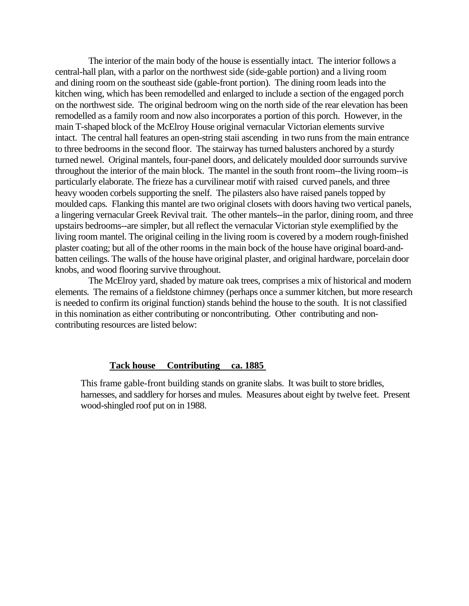The interior of the main body of the house is essentially intact. The interior follows a central-hall plan, with a parlor on the northwest side (side-gable portion) and a living room and dining room on the southeast side (gable-front portion). The dining room leads into the kitchen wing, which has been remodelled and enlarged to include a section of the engaged porch on the northwest side. The original bedroom wing on the north side of the rear elevation has been remodelled as a family room and now also incorporates a portion of this porch. However, in the main T-shaped block of the McElroy House original vernacular Victorian elements survive intact. The central hall features an open-string staii ascending in two runs from the main entrance to three bedrooms in the second floor. The stairway has turned balusters anchored by a sturdy turned newel. Original mantels, four-panel doors, and delicately moulded door surrounds survive throughout the interior of the main block. The mantel in the south front room--the living room--is particularly elaborate. The frieze has a curvilinear motif with raised curved panels, and three heavy wooden corbels supporting the snelf. The pilasters also have raised panels topped by moulded caps. Flanking this mantel are two original closets with doors having two vertical panels, a lingering vernacular Greek Revival trait. The other mantels--in the parlor, dining room, and three upstairs bedrooms--are simpler, but all reflect the vernacular Victorian style exemplified by the living room mantel. The original ceiling in the living room is covered by a modern rough-finished plaster coating; but all of the other rooms in the main bock of the house have original board-andbatten ceilings. The walls of the house have original plaster, and original hardware, porcelain door knobs, and wood flooring survive throughout.

The McElroy yard, shaded by mature oak trees, comprises a mix of historical and modern elements. The remains of a fieldstone chimney (perhaps once a summer kitchen, but more research is needed to confirm its original function) stands behind the house to the south. It is not classified in this nomination as either contributing or noncontributing. Other contributing and noncontributing resources are listed below:

#### **Tack house Contributing ca. 1885**

This frame gable-front building stands on granite slabs. It was built to store bridles, harnesses, and saddlery for horses and mules. Measures about eight by twelve feet. Present wood-shingled roof put on in 1988.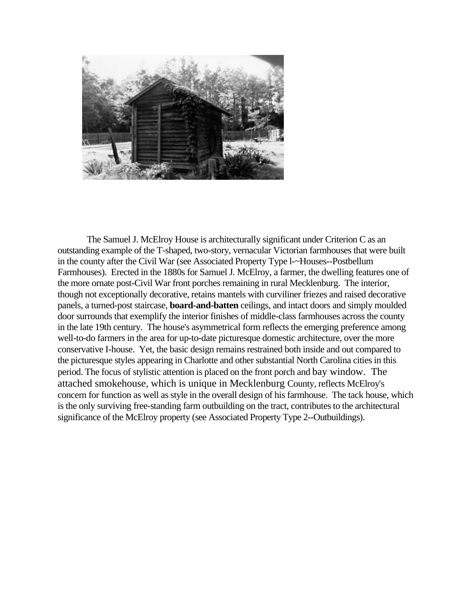

The Samuel J. McElroy House is architecturally significant under Criterion C as an outstanding example of the T-shaped, two-story, vernacular Victorian farmhouses that were built in the county after the Civil War (see Associated Property Type l-~Houses--Postbellum Farmhouses). Erected in the 1880s for Samuel J. McElroy, a farmer, the dwelling features one of the more ornate post-Civil War front porches remaining in rural Mecklenburg. The interior, though not exceptionally decorative, retains mantels with curviliner friezes and raised decorative panels, a turned-post staircase, **board-and-batten** ceilings, and intact doors and simply moulded door surrounds that exemplify the interior finishes of middle-class farmhouses across the county in the late 19th century. The house's asymmetrical form reflects the emerging preference among well-to-do farmers in the area for up-to-date picturesque domestic architecture, over the more conservative I-house. Yet, the basic design remains restrained both inside and out compared to the picturesque styles appearing in Charlotte and other substantial North Carolina cities in this period. The focus of stylistic attention is placed on the front porch and bay window. The attached smokehouse, which is unique in Mecklenburg County, reflects McElroy's concern for function as well as style in the overall design of his farmhouse. The tack house, which is the only surviving free-standing farm outbuilding on the tract, contributes to the architectural significance of the McElroy property (see Associated Property Type 2--Outbuildings).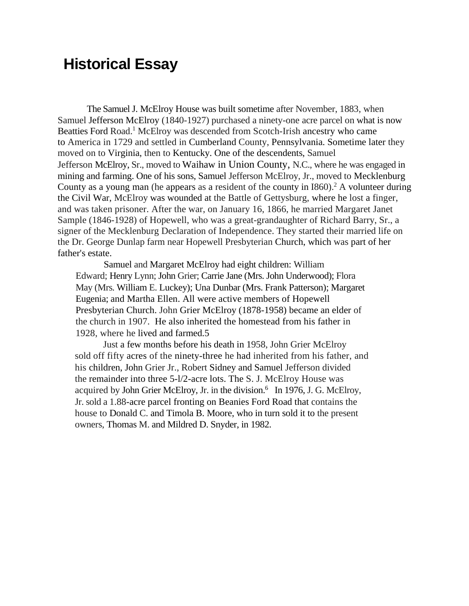### **Historical Essay**

The Samuel J. McElroy House was built sometime after November, 1883, when Samuel Jefferson McElroy (1840-1927) purchased a ninety-one acre parcel on what is now Beatties Ford Road.<sup>1</sup> McElroy was descended from Scotch-Irish ancestry who came to America in 1729 and settled in Cumberland County, Pennsylvania. Sometime later they moved on to Virginia, then to Kentucky. One of the descendents, Samuel Jefferson McElroy, Sr., moved to Waihaw in Union County, N.C., where he was engaged in mining and farming. One of his sons, Samuel Jefferson McElroy, Jr., moved to Mecklenburg County as a young man (he appears as a resident of the county in  $1860$ ).<sup>2</sup> A volunteer during the Civil War, McElroy was wounded at the Battle of Gettysburg, where he lost a finger, and was taken prisoner. After the war, on January 16, 1866, he married Margaret Janet Sample (1846-1928) of Hopewell, who was a great-grandaughter of Richard Barry, Sr., a signer of the Mecklenburg Declaration of Independence. They started their married life on the Dr. George Dunlap farm near Hopewell Presbyterian Church, which was part of her father's estate.

Samuel and Margaret McElroy had eight children: William Edward; Henry Lynn; John Grier; Carrie Jane (Mrs. John Underwood); Flora May (Mrs. William E. Luckey); Una Dunbar (Mrs. Frank Patterson); Margaret Eugenia; and Martha Ellen. All were active members of Hopewell Presbyterian Church. John Grier McElroy (1878-1958) became an elder of the church in 1907. He also inherited the homestead from his father in 1928, where he lived and farmed.5

Just a few months before his death in 1958, John Grier McElroy sold off fifty acres of the ninety-three he had inherited from his father, and his children, John Grier Jr., Robert Sidney and Samuel Jefferson divided the remainder into three 5-l/2-acre lots. The S. J. McElroy House was acquired by John Grier McElroy, Jr. in the division.<sup>6</sup> In 1976, J. G. McElroy, Jr. sold a 1.88-acre parcel fronting on Beanies Ford Road that contains the house to Donald C. and Timola B. Moore, who in turn sold it to the present owners, Thomas M. and Mildred D. Snyder, in 1982.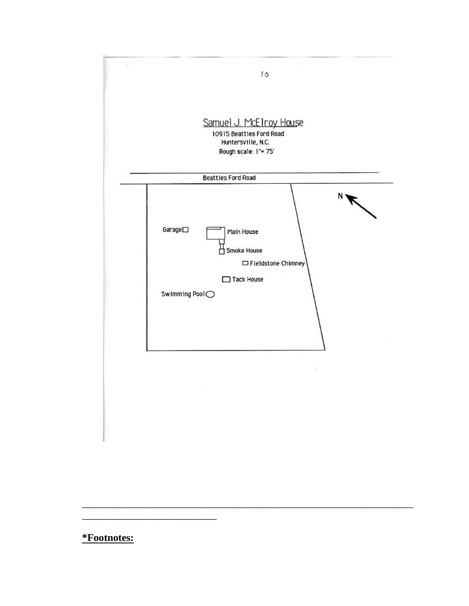

#### \*Footnotes: